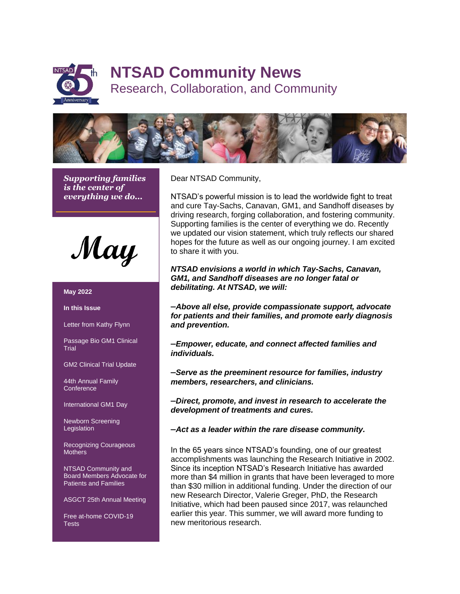

# **NTSAD Community News**

Research, Collaboration, and Community



*Supporting families is the center of everything we do...*

May

#### **May 2022**

**In this Issue**

Letter from Kathy Flynn

Passage Bio GM1 Clinical **Trial** 

GM2 Clinical Trial Update

44th Annual Family **Conference** 

International GM1 Day

Newborn Screening **Legislation** 

Recognizing Courageous **Mothers** 

NTSAD Community and Board Members Advocate for Patients and Families

ASGCT 25th Annual Meeting

Free at-home COVID-19 **Tests** 

Dear NTSAD Community,

NTSAD's powerful mission is to lead the worldwide fight to treat and cure Tay-Sachs, Canavan, GM1, and Sandhoff diseases by driving research, forging collaboration, and fostering community. Supporting families is the center of everything we do. Recently we updated our vision statement, which truly reflects our shared hopes for the future as well as our ongoing journey. I am excited to share it with you.

*NTSAD envisions a world in which Tay-Sachs, Canavan, GM1, and Sandhoff diseases are no longer fatal or debilitating. At NTSAD, we will:*

**–***Above all else, provide compassionate support, advocate for patients and their families, and promote early diagnosis and prevention.*

**–***Empower, educate, and connect affected families and individuals.*

**–***Serve as the preeminent resource for families, industry members, researchers, and clinicians.*

**–***Direct, promote, and invest in research to accelerate the development of treatments and cures.*

**–***Act as a leader within the rare disease community.*

In the 65 years since NTSAD's founding, one of our greatest accomplishments was launching the Research Initiative in 2002. Since its inception NTSAD's Research Initiative has awarded more than \$4 million in grants that have been leveraged to more than \$30 million in additional funding. Under the direction of our new Research Director, Valerie Greger, PhD, the Research Initiative, which had been paused since 2017, was relaunched earlier this year. This summer, we will award more funding to new meritorious research.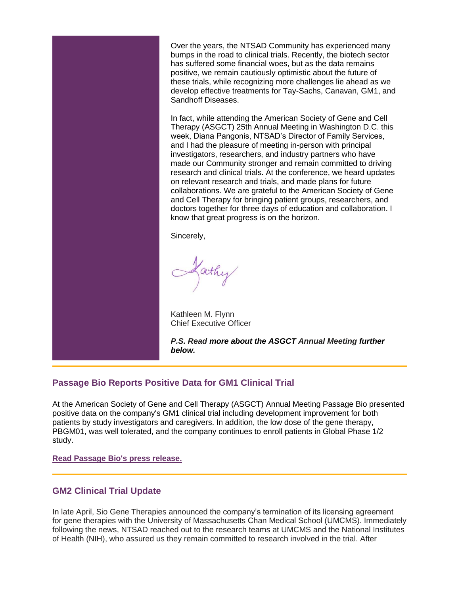Over the years, the NTSAD Community has experienced many bumps in the road to clinical trials. Recently, the biotech sector has suffered some financial woes, but as the data remains positive, we remain cautiously optimistic about the future of these trials, while recognizing more challenges lie ahead as we develop effective treatments for Tay-Sachs, Canavan, GM1, and Sandhoff Diseases.

In fact, while attending the American Society of Gene and Cell Therapy (ASGCT) 25th Annual Meeting in Washington D.C. this week, Diana Pangonis, NTSAD's Director of Family Services, and I had the pleasure of meeting in-person with principal investigators, researchers, and industry partners who have made our Community stronger and remain committed to driving research and clinical trials. At the conference, we heard updates on relevant research and trials, and made plans for future collaborations. We are grateful to the American Society of Gene and Cell Therapy for bringing patient groups, researchers, and doctors together for three days of education and collaboration. I know that great progress is on the horizon.

Sincerely,

Lathy

Kathleen M. Flynn Chief Executive Officer

*P.S. Read more about the ASGCT Annual Meeting further below.*

# **Passage Bio Reports Positive Data for GM1 Clinical Trial**

At the American Society of Gene and Cell Therapy (ASGCT) Annual Meeting Passage Bio presented positive data on the company's GM1 clinical trial including development improvement for both patients by study investigators and caregivers. In addition, the low dose of the gene therapy, PBGM01, was well tolerated, and the company continues to enroll patients in Global Phase 1/2 study.

**[Read Passage Bio's press release.](https://www.passagebio.com/investors-and-news/press-releases-and-statements/news-details/2022/Passage-Bio-Presents-New-Interim-Clinical-and-Biomarker-Data-for-Patients-with-GM1-Gangliosidosis-in-Imagine-1-Study-at-ASGCT-25th-Annual-Meeting/default.aspx)**

### **GM2 Clinical Trial Update**

In late April, Sio Gene Therapies announced the company's termination of its licensing agreement for gene therapies with the University of Massachusetts Chan Medical School (UMCMS). Immediately following the news, NTSAD reached out to the research teams at UMCMS and the National Institutes of Health (NIH), who assured us they remain committed to research involved in the trial. After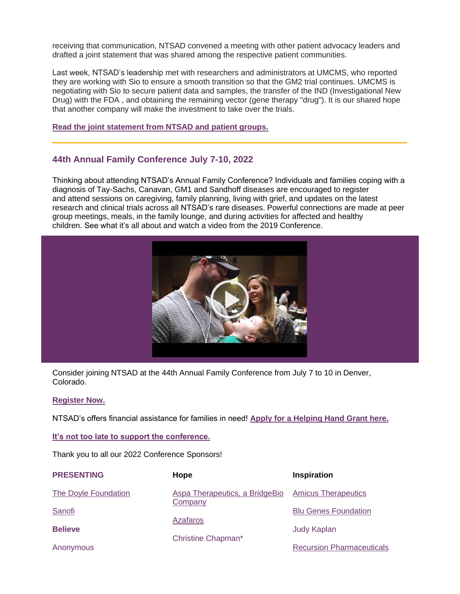receiving that communication, NTSAD convened a meeting with other patient advocacy leaders and drafted a joint statement that was shared among the respective patient communities.

Last week, NTSAD's leadership met with researchers and administrators at UMCMS, who reported they are working with Sio to ensure a smooth transition so that the GM2 trial continues. UMCMS is negotiating with Sio to secure patient data and samples, the transfer of the IND (Investigational New Drug) with the FDA , and obtaining the remaining vector (gene therapy "drug"). It is our shared hope that another company will make the investment to take over the trials.

#### **Read the joint statement [from NTSAD and patient groups.](https://myemail.constantcontact.com/GM1-and-GM2-Sio-Clinical-Trial-News.html?soid=1102417257547&aid=sJJ3PkSYXiI)**

### **44th Annual Family Conference July 7-10, 2022**

Thinking about attending NTSAD's Annual Family Conference? Individuals and families coping with a diagnosis of Tay-Sachs, Canavan, GM1 and Sandhoff diseases are encouraged to register and attend sessions on caregiving, family planning, living with grief, and updates on the latest research and clinical trials across all NTSAD's rare diseases. Powerful connections are made at peer group meetings, meals, in the family lounge, and during activities for affected and healthy children. See what it's all about and watch a video from the 2019 Conference.



Consider joining NTSAD at the 44th Annual Family Conference from July 7 to 10 in Denver, Colorado.

#### **[Register Now.](https://myemail.constantcontact.com/--NTSAD-s-Annual-Family-Conference-Registration-is-Now-Open---.html?soid=1138357538961&aid=vDLbjfvH74U)**

NTSAD's offers financial assistance for families in need! **[Apply for a Helping Hand Grant here.](https://forms.gle/RxGqFGMuEFZLA4ePA)**

**[It's not too late to support the conference.](https://interland3.donorperfect.net/weblink/weblink.aspx?name=E94381&id=55)**

Thank you to all our 2022 Conference Sponsors!

| <b>PRESENTING</b>    | Hope                           | Inspiration                      |
|----------------------|--------------------------------|----------------------------------|
| The Doyle Foundation | Aspa Therapeutics, a BridgeBio | <b>Amicus Therapeutics</b>       |
| Sanofi               | Company                        | <b>Blu Genes Foundation</b>      |
| <b>Believe</b>       | <b>Azafaros</b>                | <b>Judy Kaplan</b>               |
| Anonymous            | Christine Chapman*             | <b>Recursion Pharmaceuticals</b> |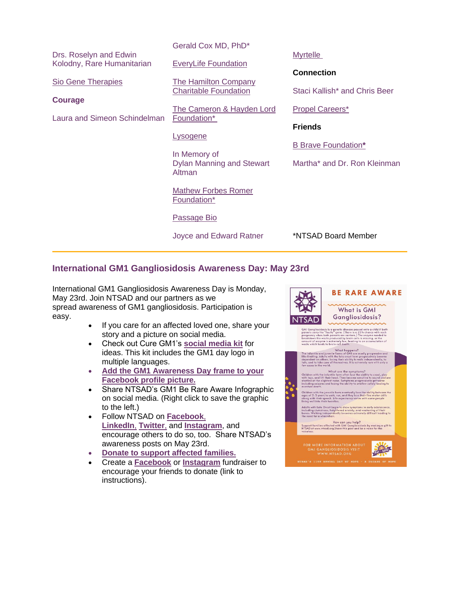|                              | Gerald Cox MD, PhD*                        |                               |
|------------------------------|--------------------------------------------|-------------------------------|
| Drs. Roselyn and Edwin       |                                            | <b>Myrtelle</b>               |
| Kolodny, Rare Humanitarian   | <b>EveryLife Foundation</b>                |                               |
| <b>Sio Gene Therapies</b>    | <b>The Hamilton Company</b>                | <b>Connection</b>             |
|                              | <b>Charitable Foundation</b>               | Staci Kallish* and Chris Beer |
| <b>Courage</b>               |                                            |                               |
|                              | <b>The Cameron &amp; Hayden Lord</b>       | <b>Propel Careers*</b>        |
| Laura and Simeon Schindelman | Foundation*                                | <b>Friends</b>                |
|                              | <b>Lysogene</b>                            |                               |
|                              |                                            | <b>B Brave Foundation*</b>    |
|                              | In Memory of                               |                               |
|                              | <b>Dylan Manning and Stewart</b><br>Altman | Martha* and Dr. Ron Kleinman  |
|                              |                                            |                               |
|                              | <b>Mathew Forbes Romer</b>                 |                               |
|                              | Foundation*                                |                               |
|                              |                                            |                               |
|                              | <b>Passage Bio</b>                         |                               |
|                              | Joyce and Edward Ratner                    | *NTSAD Board Member           |
|                              |                                            |                               |

# **International GM1 Gangliosidosis Awareness Day: May 23rd**

International GM1 Gangliosidosis Awareness Day is Monday, May 23rd. Join NTSAD and our partners as we spread awareness of GM1 gangliosidosis. Participation is easy.

- If you care for an affected loved one, share your story and a picture on social media.
- Check out Cure GM1's **[social media kit](https://curegm1.org/downloads---international-gm1-gangliosidosis-awareness-day/)** for ideas. This kit includes the GM1 day logo in multiple languages.
- **[Add the GM1 Awareness Day frame to your](https://twibbon.com/support/iggad)  [Facebook profile picture.](https://twibbon.com/support/iggad)**
- Share NTSAD's GM1 Be Rare Aware Infographic on social media. (Right click to save the graphic to the left.)
- Follow NTSAD on **[Facebook](https://www.facebook.com/NTSADCaresforRare)**, **[LinkedIn](https://www.linkedin.com/company/nationaltay-sachs&allieddiseasesassocation/?viewAsMember=true)**, **[Twitter](https://twitter.com/NTSAD)**, and **[Instagram](https://www.instagram.com/ntsad/?hl=en)**, and encourage others to do so, too. Share NTSAD's awareness posts on May 23rd.
- **[Donate to support affected families.](https://www.ntsad.org/ntsad-annual-fund)**
- Create a **[Facebook](https://www.facebook.com/business/learn/lessons/7-steps-to-create-a-fundraiser)** or **[Instagram](https://help.instagram.com/753748082021404)** fundraiser to encourage your friends to donate (link to instructions).

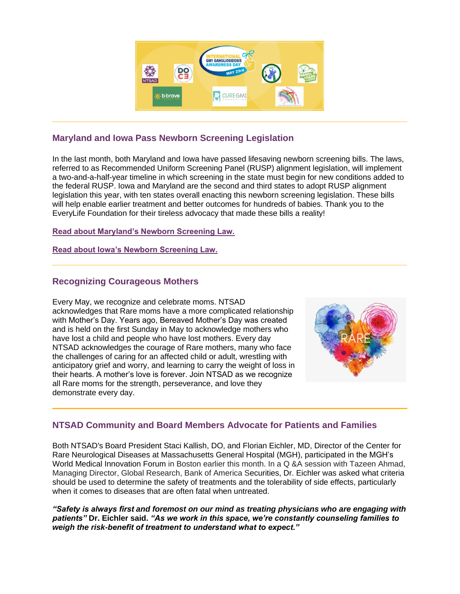

# **Maryland and Iowa Pass Newborn Screening Legislation**

In the last month, both Maryland and Iowa have passed lifesaving newborn screening bills. The laws, referred to as Recommended Uniform Screening Panel (RUSP) alignment legislation, will implement a two-and-a-half-year timeline in which screening in the state must begin for new conditions added to the federal RUSP. Iowa and Maryland are the second and third states to adopt RUSP alignment legislation this year, with ten states overall enacting this newborn screening legislation. These bills will help enable earlier treatment and better outcomes for hundreds of babies. Thank you to the EveryLife Foundation for their tireless advocacy that made these bills a reality!

### **[Read about Maryland's Newborn Screening Law.](https://everylifefoundation.org/maryland-passes-life-saving-newborn-screening-legislation/)**

**[Read about Iowa's Newborn Screening Law.](https://everylifefoundation.org/maryland-passes-life-saving-newborn-screening-legislation/)**

# **Recognizing Courageous Mothers**

Every May, we recognize and celebrate moms. NTSAD acknowledges that Rare moms have a more complicated relationship with Mother's Day. Years ago, Bereaved Mother's Day was created and is held on the first Sunday in May to acknowledge mothers who have lost a child and people who have lost mothers. Every day NTSAD acknowledges the courage of Rare mothers, many who face the challenges of caring for an affected child or adult, wrestling with anticipatory grief and worry, and learning to carry the weight of loss in their hearts. A mother's love is forever. Join NTSAD as we recognize all Rare moms for the strength, perseverance, and love they demonstrate every day.



# **NTSAD Community and Board Members Advocate for Patients and Families**

Both NTSAD's Board President Staci Kallish, DO, and Florian Eichler, MD, Director of the Center for Rare Neurological Diseases at Massachusetts General Hospital (MGH), participated in the MGH's World Medical Innovation Forum in Boston earlier this month. In a Q &A session with Tazeen Ahmad, Managing Director, Global Research, Bank of America Securities, Dr. Eichler was asked what criteria should be used to determine the safety of treatments and the tolerability of side effects, particularly when it comes to diseases that are often fatal when untreated.

*"Safety is always first and foremost on our mind as treating physicians who are engaging with patients"* **Dr. Eichler said.** *"As we work in this space, we're constantly counseling families to weigh the risk-benefit of treatment to understand what to expect."*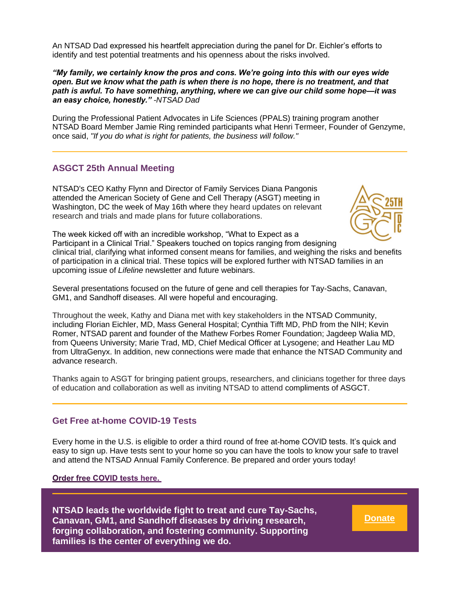An NTSAD Dad expressed his heartfelt appreciation during the panel for Dr. Eichler's efforts to identify and test potential treatments and his openness about the risks involved.

*"My family, we certainly know the pros and cons. We're going into this with our eyes wide open. But we know what the path is when there is no hope, there is no treatment, and that path is awful. To have something, anything, where we can give our child some hope—it was an easy choice, honestly." -NTSAD Dad*

During the Professional Patient Advocates in Life Sciences (PPALS) training program another NTSAD Board Member Jamie Ring reminded participants what Henri Termeer, Founder of Genzyme, once said, *"If you do what is right for patients, the business will follow."*

### **ASGCT 25th Annual Meeting**

NTSAD's CEO Kathy Flynn and Director of Family Services Diana Pangonis attended the American Society of Gene and Cell Therapy (ASGT) meeting in Washington, DC the week of May 16th where they heard updates on relevant research and trials and made plans for future collaborations.



The week kicked off with an incredible workshop, "What to Expect as a Participant in a Clinical Trial." Speakers touched on topics ranging from designing clinical trial, clarifying what informed consent means for families, and weighing the risks and benefits of participation in a clinical trial. These topics will be explored further with NTSAD families in an upcoming issue of *Lifeline* newsletter and future webinars.

Several presentations focused on the future of gene and cell therapies for Tay-Sachs, Canavan, GM1, and Sandhoff diseases. All were hopeful and encouraging.

Throughout the week, Kathy and Diana met with key stakeholders in the NTSAD Community, including Florian Eichler, MD, Mass General Hospital; Cynthia Tifft MD, PhD from the NIH; Kevin Romer, NTSAD parent and founder of the Mathew Forbes Romer Foundation; Jagdeep Walia MD, from Queens University; Marie Trad, MD, Chief Medical Officer at Lysogene; and Heather Lau MD from UltraGenyx. In addition, new connections were made that enhance the NTSAD Community and advance research.

Thanks again to ASGT for bringing patient groups, researchers, and clinicians together for three days of education and collaboration as well as inviting NTSAD to attend compliments of ASGCT.

### **Get Free at-home COVID-19 Tests**

Every home in the U.S. is eligible to order a third round of free at-home COVID tests. It's quick and easy to sign up. Have tests sent to your home so you can have the tools to know your safe to travel and attend the NTSAD Annual Family Conference. Be prepared and order yours today!

Order free COVID tests here.

**NTSAD leads the worldwide fight to treat and cure Tay-Sachs, Canavan, GM1, and Sandhoff diseases by driving research, forging collaboration, and fostering community. Supporting families is the center of everything we do.**

**[Donate](https://ntsad.org/index.php/make-a-gift)**